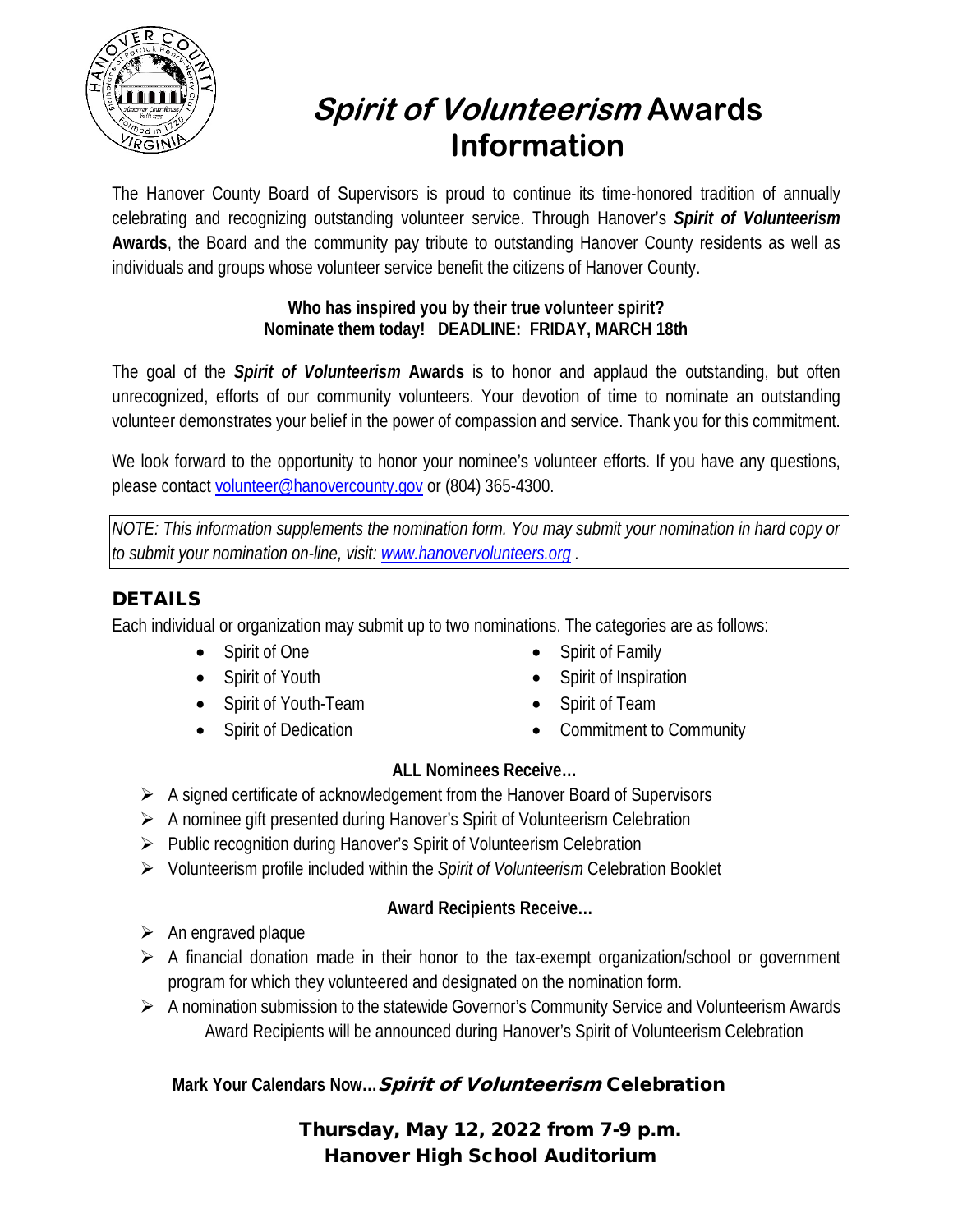

# **Spirit of Volunteerism Awards Information**

The Hanover County Board of Supervisors is proud to continue its time-honored tradition of annually celebrating and recognizing outstanding volunteer service. Through Hanover's *Spirit of Volunteerism* **Awards**, the Board and the community pay tribute to outstanding Hanover County residents as well as individuals and groups whose volunteer service benefit the citizens of Hanover County.

#### **Who has inspired you by their true volunteer spirit? Nominate them today! DEADLINE: FRIDAY, MARCH 18th**

The goal of the *Spirit of Volunteerism* **Awards** is to honor and applaud the outstanding, but often unrecognized, efforts of our community volunteers. Your devotion of time to nominate an outstanding volunteer demonstrates your belief in the power of compassion and service. Thank you for this commitment.

We look forward to the opportunity to honor your nominee's volunteer efforts. If you have any questions, please contact [volunteer@hanovercounty.gov](mailto:volunteer@co.hanover.va.us) or (804) 365-4300.

*NOTE: This information supplements the nomination form. You may submit your nomination in hard copy or to submit your nomination on-line, visit: [www.hanovervolunteers.org](http://www.hanovervolunteers.org/) .* 

# DETAILS

Each individual or organization may submit up to two nominations. The categories are as follows:

- Spirit of One
- Spirit of Youth
- Spirit of Youth-Team
- Spirit of Dedication
- Spirit of Family
- Spirit of Inspiration
- Spirit of Team
- Commitment to Community

#### **ALL Nominees Receive…**

- $\triangleright$  A signed certificate of acknowledgement from the Hanover Board of Supervisors
- $\triangleright$  A nominee gift presented during Hanover's Spirit of Volunteerism Celebration
- > Public recognition during Hanover's Spirit of Volunteerism Celebration
- Volunteerism profile included within the *Spirit of Volunteerism* Celebration Booklet

## **Award Recipients Receive…**

- $\triangleright$  An engraved plaque
- $\triangleright$  A financial donation made in their honor to the tax-exempt organization/school or government program for which they volunteered and designated on the nomination form.
- A nomination submission to the statewide Governor's Community Service and Volunteerism Awards Award Recipients will be announced during Hanover's Spirit of Volunteerism Celebration

# **Mark Your Calendars Now…**Spirit of Volunteerism Celebration

## Thursday, May 12, 2022 from 7-9 p.m. Hanover High School Auditorium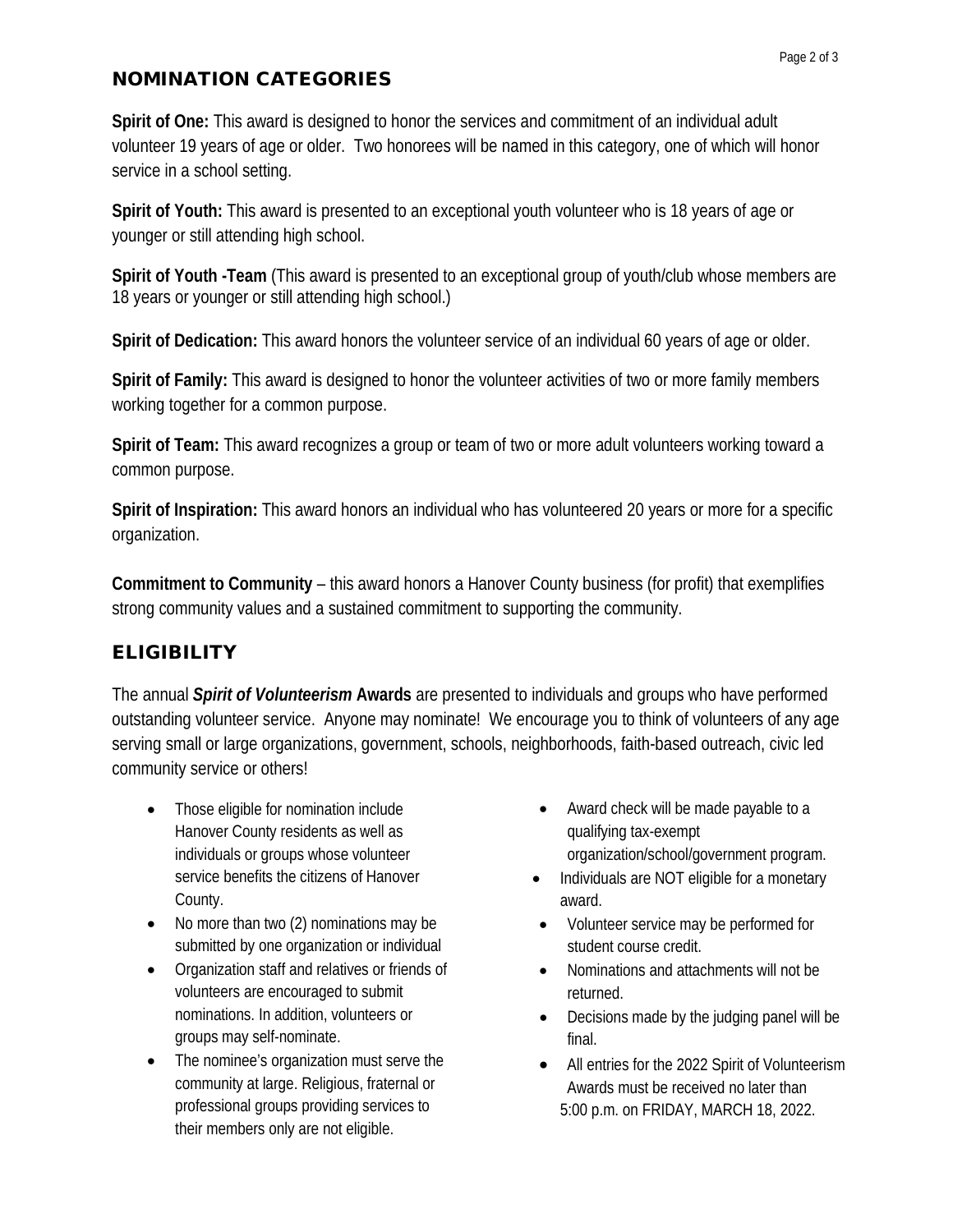#### NOMINATION CATEGORIES

**Spirit of One:** This award is designed to honor the services and commitment of an individual adult volunteer 19 years of age or older. Two honorees will be named in this category, one of which will honor service in a school setting.

**Spirit of Youth:** This award is presented to an exceptional youth volunteer who is 18 years of age or younger or still attending high school.

**Spirit of Youth -Team** (This award is presented to an exceptional group of youth/club whose members are 18 years or younger or still attending high school.)

**Spirit of Dedication:** This award honors the volunteer service of an individual 60 years of age or older.

**Spirit of Family:** This award is designed to honor the volunteer activities of two or more family members working together for a common purpose.

**Spirit of Team:** This award recognizes a group or team of two or more adult volunteers working toward a common purpose.

**Spirit of Inspiration:** This award honors an individual who has volunteered 20 years or more for a specific organization.

**Commitment to Community** – this award honors a Hanover County business (for profit) that exemplifies strong community values and a sustained commitment to supporting the community.

## **ELIGIBILITY**

The annual *Spirit of Volunteerism* **Awards** are presented to individuals and groups who have performed outstanding volunteer service. Anyone may nominate! We encourage you to think of volunteers of any age serving small or large organizations, government, schools, neighborhoods, faith-based outreach, civic led community service or others!

- Those eligible for nomination include Hanover County residents as well as individuals or groups whose volunteer service benefits the citizens of Hanover County.
- No more than two (2) nominations may be submitted by one organization or individual
- Organization staff and relatives or friends of volunteers are encouraged to submit nominations. In addition, volunteers or groups may self-nominate.
- The nominee's organization must serve the community at large. Religious, fraternal or professional groups providing services to their members only are not eligible.
- Award check will be made payable to a qualifying tax-exempt organization/school/government program.
- Individuals are NOT eligible for a monetary award.
- Volunteer service may be performed for student course credit.
- Nominations and attachments will not be returned.
- Decisions made by the judging panel will be final.
- All entries for the 2022 Spirit of Volunteerism Awards must be received no later than 5:00 p.m. on FRIDAY, MARCH 18, 2022.